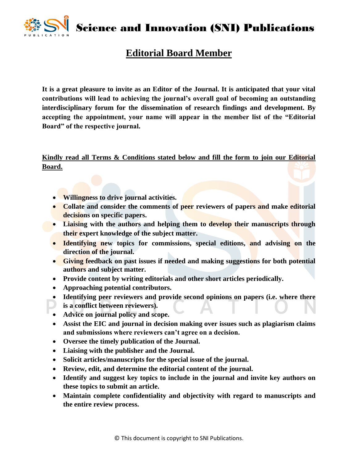Science and Innovation (SNI) Publications

## **Editorial Board Member**

**It is a great pleasure to invite as an Editor of the Journal. It is anticipated that your vital contributions will lead to achieving the journal's overall goal of becoming an outstanding interdisciplinary forum for the dissemination of research findings and development. By accepting the appointment, your name will appear in the member list of the "Editorial Board" of the respective journal.** 

**Kindly read all Terms & Conditions stated below and fill the form to join our Editorial Board.**

- **Willingness to drive journal activities.**
- **Collate and consider the comments of peer reviewers of papers and make editorial decisions on specific papers.**
- **Liaising with the authors and helping them to develop their manuscripts through their expert knowledge of the subject matter.**
- **Identifying new topics for commissions, special editions, and advising on the direction of the journal.**
- **Giving feedback on past issues if needed and making suggestions for both potential authors and subject matter.**
- **Provide content by writing editorials and other short articles periodically.**
- **Approaching potential contributors.**
- **Identifying peer reviewers and provide second opinions on papers (i.e. where there**
- **is a conflict between reviewers).**
- **Advice on journal policy and scope.**
- **Assist the EIC and journal in decision making over issues such as plagiarism claims and submissions where reviewers can't agree on a decision.**
- **Oversee the timely publication of the Journal.**
- **Liaising with the publisher and the Journal.**
- **Solicit articles/manuscripts for the special issue of the journal.**
- **Review, edit, and determine the editorial content of the journal.**
- **Identify and suggest key topics to include in the journal and invite key authors on these topics to submit an article.**
- **Maintain complete confidentiality and objectivity with regard to manuscripts and the entire review process.**